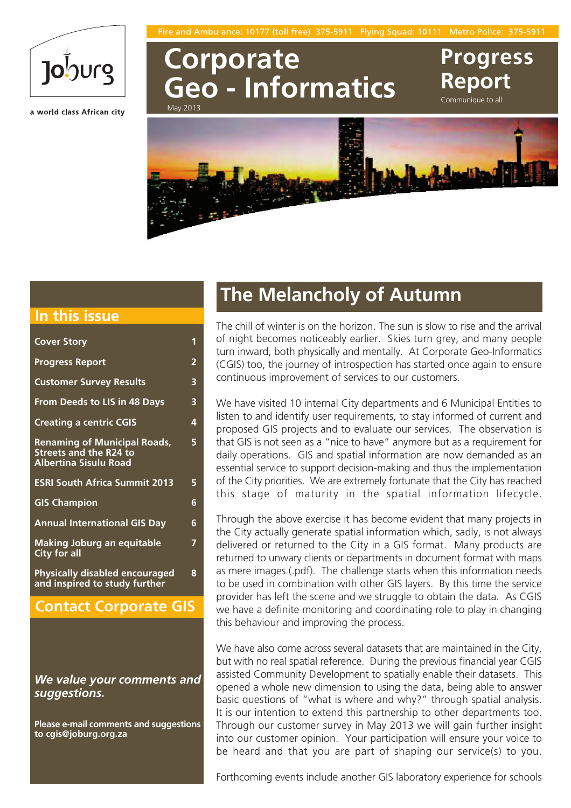Fire and Ambulance: 10177 (toll free) 375 Flying Squad: 10111 Metro Police: 375



a world class African city

## **Corporate Geo - Informatics** May 2013

**Report**

**Progress**

Communique to all



### **In this issue**

| <b>Cover Story</b>                                                                                   | 1              |
|------------------------------------------------------------------------------------------------------|----------------|
| <b>Progress Report</b>                                                                               | $\overline{2}$ |
| <b>Customer Survey Results</b>                                                                       | 3              |
| From Deeds to LIS in 48 Days                                                                         | 3              |
| <b>Creating a centric CGIS</b>                                                                       | 4              |
| <b>Renaming of Municipal Roads,</b><br><b>Streets and the R24 to</b><br><b>Albertina Sisulu Road</b> | 5              |
| <b>ESRI South Africa Summit 2013</b>                                                                 | 5              |
| <b>GIS Champion</b>                                                                                  | 6              |
| <b>Annual International GIS Day</b>                                                                  | 6              |
| <b>Making Joburg an equitable</b><br><b>City for all</b>                                             | 7              |
| <b>Physically disabled encouraged</b><br>and inspired to study further                               | 8              |

### **Contact Corporate GIS**

*We value your comments and suggestions.*

**Please e-mail comments and suggestions to cgis@joburg.org.za**

## **The Melancholy of Autumn**

The chill of winter is on the horizon. The sun is slow to rise and the arrival of night becomes noticeably earlier. Skies turn grey, and many people turn inward, both physically and mentally. At Corporate Geo-Informatics (CGIS) too, the journey of introspection has started once again to ensure continuous improvement of services to our customers.

We have visited 10 internal City departments and 6 Municipal Entities to listen to and identify user requirements, to stay informed of current and proposed GIS projects and to evaluate our services. The observation is that GIS is not seen as a "nice to have" anymore but as a requirement for daily operations. GIS and spatial information are now demanded as an essential service to support decision-making and thus the implementation of the City priorities. We are extremely fortunate that the City has reached this stage of maturity in the spatial information lifecycle.

Through the above exercise it has become evident that many projects in the City actually generate spatial information which, sadly, is not always delivered or returned to the City in a GIS format. Many products are returned to unwary clients or departments in document format with maps as mere images (.pdf). The challenge starts when this information needs to be used in combination with other GIS layers. By this time the service provider has left the scene and we struggle to obtain the data. As CGIS we have a definite monitoring and coordinating role to play in changing this behaviour and improving the process.

We have also come across several datasets that are maintained in the City, but with no real spatial reference. During the previous financial year CGIS assisted Community Development to spatially enable their datasets. This opened a whole new dimension to using the data, being able to answer basic questions of "what is where and why?" through spatial analysis. It is our intention to extend this partnership to other departments too. Through our customer survey in May 2013 we will gain further insight into our customer opinion. Your participation will ensure your voice to be heard and that you are part of shaping our service(s) to you.

Forthcoming events include another GIS laboratory experience for schools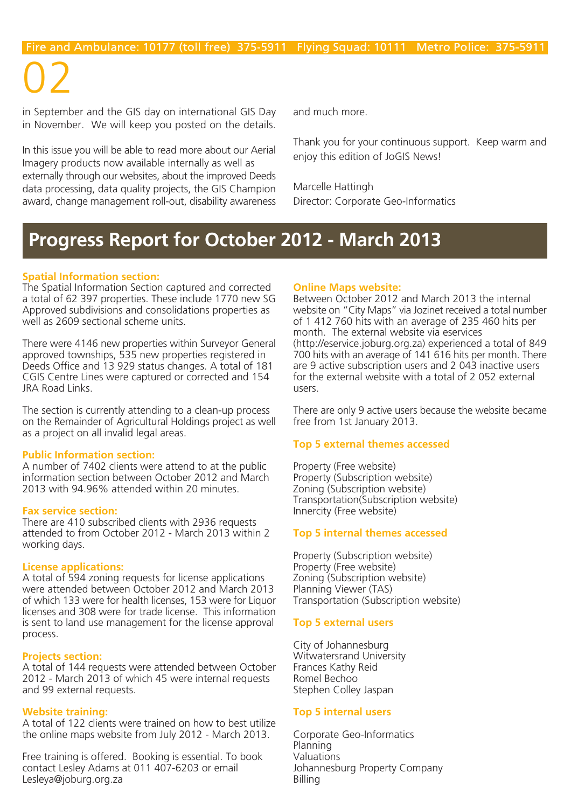02

in September and the GIS day on international GIS Day in November. We will keep you posted on the details.

In this issue you will be able to read more about our Aerial Imagery products now available internally as well as externally through our websites, about the improved Deeds data processing, data quality projects, the GIS Champion award, change management roll-out, disability awareness and much more.

Thank you for your continuous support. Keep warm and enjoy this edition of JoGIS News!

Marcelle Hattingh Director: Corporate Geo-Informatics

## **Progress Report for October 2012 - March 2013**

### **Spatial Information section:**

The Spatial Information Section captured and corrected a total of 62 397 properties. These include 1770 new SG Approved subdivisions and consolidations properties as well as 2609 sectional scheme units.

There were 4146 new properties within Surveyor General approved townships, 535 new properties registered in Deeds Office and 13 929 status changes. A total of 181 CGIS Centre Lines were captured or corrected and 154 JRA Road Links.

The section is currently attending to a clean-up process on the Remainder of Agricultural Holdings project as well as a project on all invalid legal areas.

### **Public Information section:**

A number of 7402 clients were attend to at the public information section between October 2012 and March 2013 with 94.96% attended within 20 minutes.

#### **Fax service section:**

There are 410 subscribed clients with 2936 requests attended to from October 2012 - March 2013 within 2 working days.

### **License applications:**

A total of 594 zoning requests for license applications were attended between October 2012 and March 2013 of which 133 were for health licenses, 153 were for Liquor licenses and 308 were for trade license. This information is sent to land use management for the license approval process.

### **Projects section:**

A total of 144 requests were attended between October 2012 - March 2013 of which 45 were internal requests and 99 external requests.

### **Website training:**

A total of 122 clients were trained on how to best utilize the online maps website from July 2012 - March 2013.

Free training is offered. Booking is essential. To book contact Lesley Adams at 011 407-6203 or email Lesleya@joburg.org.za

### **Online Maps website:**

Between October 2012 and March 2013 the internal website on "City Maps" via Jozinet received a total number of 1 412 760 hits with an average of 235 460 hits per month. The external website via eservices (http://eservice.joburg.org.za) experienced a total of 849 700 hits with an average of 141 616 hits per month. There are 9 active subscription users and 2 043 inactive users for the external website with a total of 2 052 external users.

There are only 9 active users because the website became free from 1st January 2013.

### **Top 5 external themes accessed**

Property (Free website) Property (Subscription website) Zoning (Subscription website) Transportation(Subscription website) Innercity (Free website)

### **Top 5 internal themes accessed**

Property (Subscription website) Property (Free website) Zoning (Subscription website) Planning Viewer (TAS) Transportation (Subscription website)

### **Top 5 external users**

City of Johannesburg Witwatersrand University Frances Kathy Reid Romel Bechoo Stephen Colley Jaspan

### **Top 5 internal users**

Corporate Geo-Informatics Planning Valuations Johannesburg Property Company Billing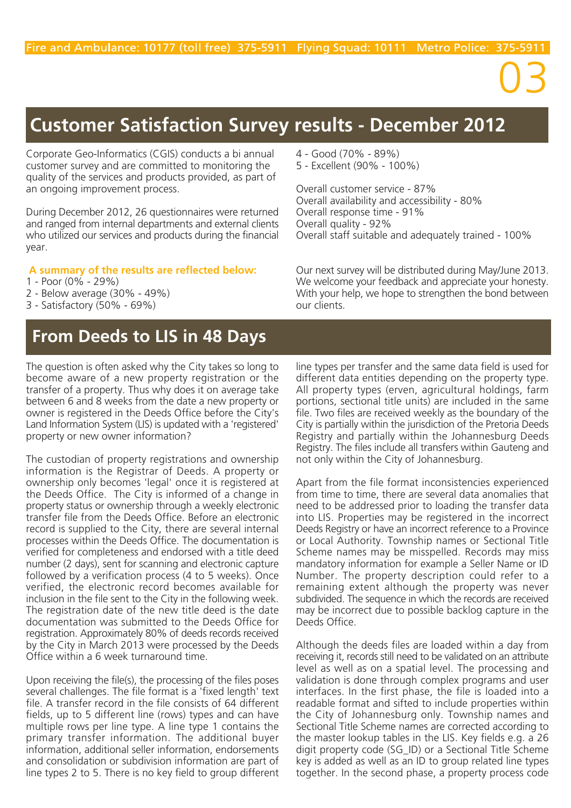# 03

# **Customer Satisfaction Survey results - December 2012**

Corporate Geo-Informatics (CGIS) conducts a bi annual customer survey and are committed to monitoring the quality of the services and products provided, as part of an ongoing improvement process.

During December 2012, 26 questionnaires were returned and ranged from internal departments and external clients who utilized our services and products during the financial year.

### **A summary of the results are reflected below:**

- 1 Poor (0% 29%)
- 2 Below average (30% 49%)
- 3 Satisfactory (50% 69%)

## **From Deeds to LIS in 48 Days**

The question is often asked why the City takes so long to become aware of a new property registration or the transfer of a property. Thus why does it on average take between 6 and 8 weeks from the date a new property or owner is registered in the Deeds Office before the City's Land Information System (LIS) is updated with a 'registered' property or new owner information?

The custodian of property registrations and ownership information is the Registrar of Deeds. A property or ownership only becomes 'legal' once it is registered at the Deeds Office. The City is informed of a change in property status or ownership through a weekly electronic transfer file from the Deeds Office. Before an electronic record is supplied to the City, there are several internal processes within the Deeds Office. The documentation is verified for completeness and endorsed with a title deed number (2 days), sent for scanning and electronic capture followed by a verification process (4 to 5 weeks). Once verified, the electronic record becomes available for inclusion in the file sent to the City in the following week. The registration date of the new title deed is the date documentation was submitted to the Deeds Office for registration. Approximately 80% of deeds records received by the City in March 2013 were processed by the Deeds Office within a 6 week turnaround time.

Upon receiving the file(s), the processing of the files poses several challenges. The file format is a 'fixed length' text file. A transfer record in the file consists of 64 different fields, up to 5 different line (rows) types and can have multiple rows per line type. A line type 1 contains the primary transfer information. The additional buyer information, additional seller information, endorsements and consolidation or subdivision information are part of line types 2 to 5. There is no key field to group different

- 4 Good (70% 89%)
- 5 Excellent (90% 100%)

Overall customer service - 87% Overall availability and accessibility - 80% Overall response time - 91% Overall quality - 92% Overall staff suitable and adequately trained - 100%

Our next survey will be distributed during May/June 2013. We welcome your feedback and appreciate your honesty. With your help, we hope to strengthen the bond between our clients.

line types per transfer and the same data field is used for different data entities depending on the property type. All property types (erven, agricultural holdings, farm portions, sectional title units) are included in the same file. Two files are received weekly as the boundary of the City is partially within the jurisdiction of the Pretoria Deeds Registry and partially within the Johannesburg Deeds Registry. The files include all transfers within Gauteng and not only within the City of Johannesburg.

Apart from the file format inconsistencies experienced from time to time, there are several data anomalies that need to be addressed prior to loading the transfer data into LIS. Properties may be registered in the incorrect Deeds Registry or have an incorrect reference to a Province or Local Authority. Township names or Sectional Title Scheme names may be misspelled. Records may miss mandatory information for example a Seller Name or ID Number. The property description could refer to a remaining extent although the property was never subdivided. The sequence in which the records are received may be incorrect due to possible backlog capture in the Deeds Office.

Although the deeds files are loaded within a day from receiving it, records still need to be validated on an attribute level as well as on a spatial level. The processing and validation is done through complex programs and user interfaces. In the first phase, the file is loaded into a readable format and sifted to include properties within the City of Johannesburg only. Township names and Sectional Title Scheme names are corrected according to the master lookup tables in the LIS. Key fields e.g. a 26 digit property code (SG\_ID) or a Sectional Title Scheme key is added as well as an ID to group related line types together. In the second phase, a property process code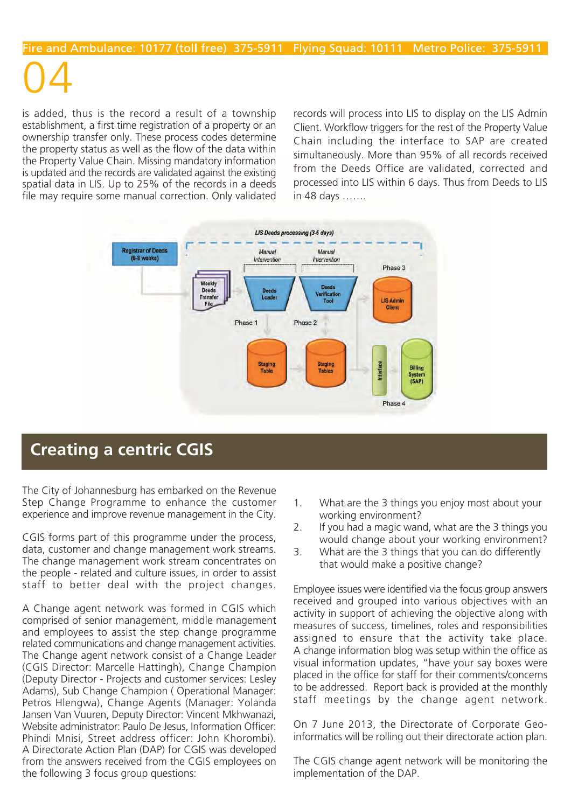# Fire and Ambulance: 10177 (toll free) 375-5911 Flying Squad: 10111 Metro Police: 375-5911

04

is added, thus is the record a result of a township establishment, a first time registration of a property or an ownership transfer only. These process codes determine the property status as well as the flow of the data within the Property Value Chain. Missing mandatory information is updated and the records are validated against the existing spatial data in LIS. Up to 25% of the records in a deeds file may require some manual correction. Only validated

records will process into LIS to display on the LIS Admin Client. Workflow triggers for the rest of the Property Value Chain including the interface to SAP are created simultaneously. More than 95% of all records received from the Deeds Office are validated, corrected and processed into LIS within 6 days. Thus from Deeds to LIS in 48 days …….



## **Creating a centric CGIS**

The City of Johannesburg has embarked on the Revenue Step Change Programme to enhance the customer experience and improve revenue management in the City.

CGIS forms part of this programme under the process, data, customer and change management work streams. The change management work stream concentrates on the people - related and culture issues, in order to assist staff to better deal with the project changes.

A Change agent network was formed in CGIS which comprised of senior management, middle management and employees to assist the step change programme related communications and change management activities. The Change agent network consist of a Change Leader (CGIS Director: Marcelle Hattingh), Change Champion (Deputy Director - Projects and customer services: Lesley Adams), Sub Change Champion ( Operational Manager: Petros Hlengwa), Change Agents (Manager: Yolanda Jansen Van Vuuren, Deputy Director: Vincent Mkhwanazi, Website administrator: Paulo De Jesus, Information Officer: Phindi Mnisi, Street address officer: John Khorombi). A Directorate Action Plan (DAP) for CGIS was developed from the answers received from the CGIS employees on the following 3 focus group questions:

- 1. What are the 3 things you enjoy most about your working environment?
- 2. If you had a magic wand, what are the 3 things you would change about your working environment?
- 3. What are the 3 things that you can do differently that would make a positive change?

Employee issues were identified via the focus group answers received and grouped into various objectives with an activity in support of achieving the objective along with measures of success, timelines, roles and responsibilities assigned to ensure that the activity take place. A change information blog was setup within the office as visual information updates, "have your say boxes were placed in the office for staff for their comments/concerns to be addressed. Report back is provided at the monthly staff meetings by the change agent network.

On 7 June 2013, the Directorate of Corporate Geoinformatics will be rolling out their directorate action plan.

The CGIS change agent network will be monitoring the implementation of the DAP.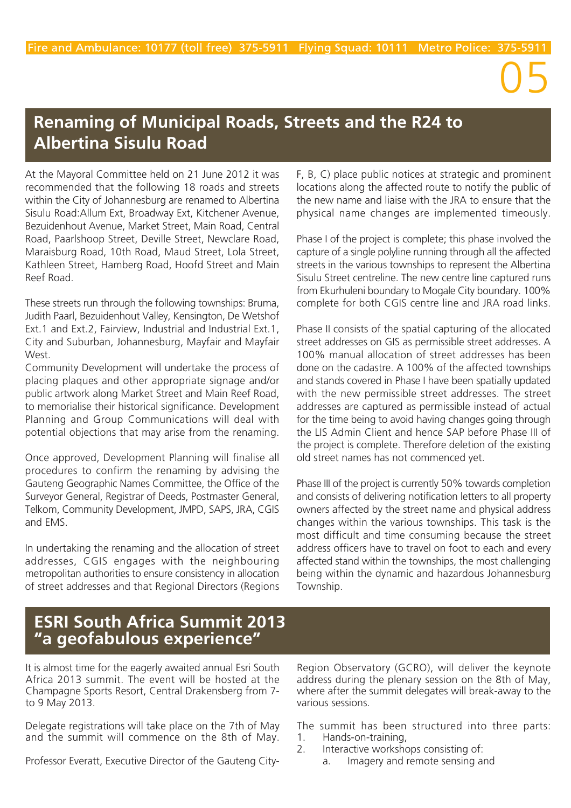# 05

## **Renaming of Municipal Roads, Streets and the R24 to Albertina Sisulu Road**

At the Mayoral Committee held on 21 June 2012 it was recommended that the following 18 roads and streets within the City of Johannesburg are renamed to Albertina Sisulu Road:Allum Ext, Broadway Ext, Kitchener Avenue, Bezuidenhout Avenue, Market Street, Main Road, Central Road, Paarlshoop Street, Deville Street, Newclare Road, Maraisburg Road, 10th Road, Maud Street, Lola Street, Kathleen Street, Hamberg Road, Hoofd Street and Main Reef Road.

These streets run through the following townships: Bruma, Judith Paarl, Bezuidenhout Valley, Kensington, De Wetshof Ext.1 and Ext.2, Fairview, Industrial and Industrial Ext.1, City and Suburban, Johannesburg, Mayfair and Mayfair West.

Community Development will undertake the process of placing plaques and other appropriate signage and/or public artwork along Market Street and Main Reef Road, to memorialise their historical significance. Development Planning and Group Communications will deal with potential objections that may arise from the renaming.

Once approved, Development Planning will finalise all procedures to confirm the renaming by advising the Gauteng Geographic Names Committee, the Office of the Surveyor General, Registrar of Deeds, Postmaster General, Telkom, Community Development, JMPD, SAPS, JRA, CGIS and EMS.

In undertaking the renaming and the allocation of street addresses, CGIS engages with the neighbouring metropolitan authorities to ensure consistency in allocation of street addresses and that Regional Directors (Regions

F, B, C) place public notices at strategic and prominent locations along the affected route to notify the public of the new name and liaise with the JRA to ensure that the physical name changes are implemented timeously.

Phase I of the project is complete; this phase involved the capture of a single polyline running through all the affected streets in the various townships to represent the Albertina Sisulu Street centreline. The new centre line captured runs from Ekurhuleni boundary to Mogale City boundary. 100% complete for both CGIS centre line and JRA road links.

Phase II consists of the spatial capturing of the allocated street addresses on GIS as permissible street addresses. A 100% manual allocation of street addresses has been done on the cadastre. A 100% of the affected townships and stands covered in Phase I have been spatially updated with the new permissible street addresses. The street addresses are captured as permissible instead of actual for the time being to avoid having changes going through the LIS Admin Client and hence SAP before Phase III of the project is complete. Therefore deletion of the existing old street names has not commenced yet.

Phase III of the project is currently 50% towards completion and consists of delivering notification letters to all property owners affected by the street name and physical address changes within the various townships. This task is the most difficult and time consuming because the street address officers have to travel on foot to each and every affected stand within the townships, the most challenging being within the dynamic and hazardous Johannesburg Township.

## **ESRI South Africa Summit 2013 "a geofabulous experience"**

It is almost time for the eagerly awaited annual Esri South Africa 2013 summit. The event will be hosted at the Champagne Sports Resort, Central Drakensberg from 7 to 9 May 2013.

Delegate registrations will take place on the 7th of May and the summit will commence on the 8th of May.

Professor Everatt, Executive Director of the Gauteng City-

Region Observatory (GCRO), will deliver the keynote address during the plenary session on the 8th of May, where after the summit delegates will break-away to the various sessions.

The summit has been structured into three parts: 1. Hands-on-training,

- 2. Interactive workshops consisting of:
	- a. Imagery and remote sensing and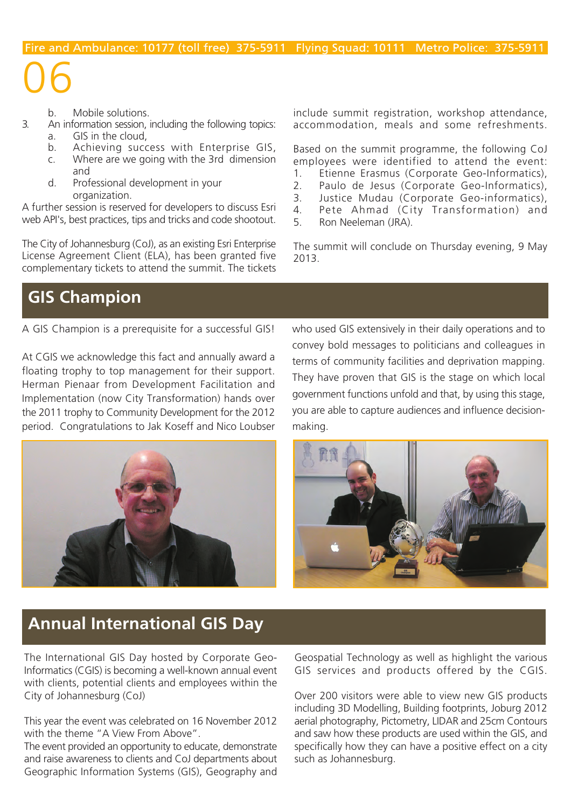#### b. Mobile solutions.

06

- An information session, including the following topics: a. GIS in the cloud,
	- b. Achieving success with Enterprise GIS,
	- c. Where are we going with the 3rd dimension and
	- d. Professional development in your organization.

A further session is reserved for developers to discuss Esri web API's, best practices, tips and tricks and code shootout.

The City of Johannesburg (CoJ), as an existing Esri Enterprise License Agreement Client (ELA), has been granted five complementary tickets to attend the summit. The tickets include summit registration, workshop attendance, accommodation, meals and some refreshments.

Based on the summit programme, the following CoJ employees were identified to attend the event:

- 1. Etienne Erasmus (Corporate Geo-Informatics),
- 2. Paulo de Jesus (Corporate Geo-Informatics),
- 3. Justice Mudau (Corporate Geo-informatics),
- 4. Pete Ahmad (City Transformation) and
- 5. Ron Neeleman (JRA).

The summit will conclude on Thursday evening, 9 May 2013.

## **GIS Champion**

A GIS Champion is a prerequisite for a successful GIS!

At CGIS we acknowledge this fact and annually award a floating trophy to top management for their support. Herman Pienaar from Development Facilitation and Implementation (now City Transformation) hands over the 2011 trophy to Community Development for the 2012 period. Congratulations to Jak Koseff and Nico Loubser



who used GIS extensively in their daily operations and to convey bold messages to politicians and colleagues in terms of community facilities and deprivation mapping. They have proven that GIS is the stage on which local government functions unfold and that, by using this stage, you are able to capture audiences and influence decisionmaking.



## **Annual International GIS Day**

The International GIS Day hosted by Corporate Geo-Informatics (CGIS) is becoming a well-known annual event with clients, potential clients and employees within the City of Johannesburg (CoJ)

This year the event was celebrated on 16 November 2012 with the theme "A View From Above".

The event provided an opportunity to educate, demonstrate and raise awareness to clients and CoJ departments about Geographic Information Systems (GIS), Geography and Geospatial Technology as well as highlight the various GIS services and products offered by the CGIS.

Over 200 visitors were able to view new GIS products including 3D Modelling, Building footprints, Joburg 2012 aerial photography, Pictometry, LIDAR and 25cm Contours and saw how these products are used within the GIS, and specifically how they can have a positive effect on a city such as Johannesburg.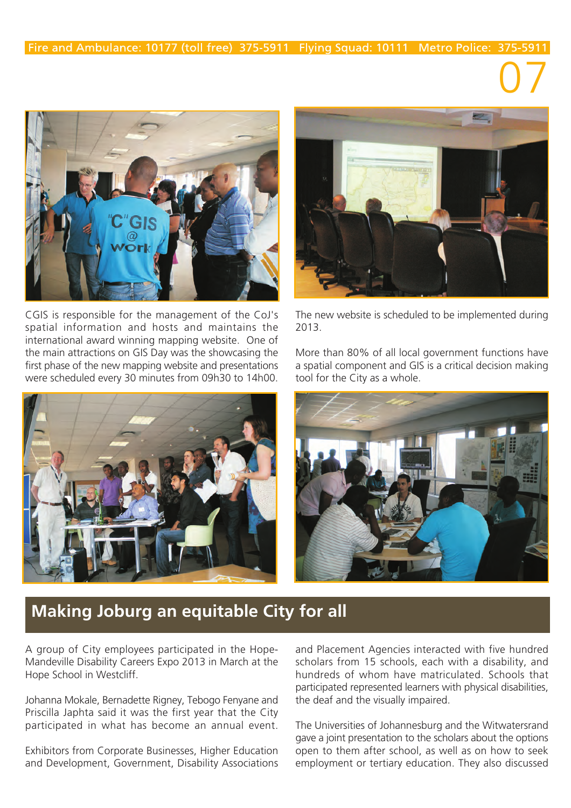

CGIS is responsible for the management of the CoJ's spatial information and hosts and maintains the international award winning mapping website. One of the main attractions on GIS Day was the showcasing the first phase of the new mapping website and presentations were scheduled every 30 minutes from 09h30 to 14h00.





07

The new website is scheduled to be implemented during 2013.

More than 80% of all local government functions have a spatial component and GIS is a critical decision making tool for the City as a whole.



## **Making Joburg an equitable City for all**

A group of City employees participated in the Hope-Mandeville Disability Careers Expo 2013 in March at the Hope School in Westcliff.

Johanna Mokale, Bernadette Rigney, Tebogo Fenyane and Priscilla Japhta said it was the first year that the City participated in what has become an annual event.

Exhibitors from Corporate Businesses, Higher Education and Development, Government, Disability Associations

and Placement Agencies interacted with five hundred scholars from 15 schools, each with a disability, and hundreds of whom have matriculated. Schools that participated represented learners with physical disabilities, the deaf and the visually impaired.

The Universities of Johannesburg and the Witwatersrand gave a joint presentation to the scholars about the options open to them after school, as well as on how to seek employment or tertiary education. They also discussed